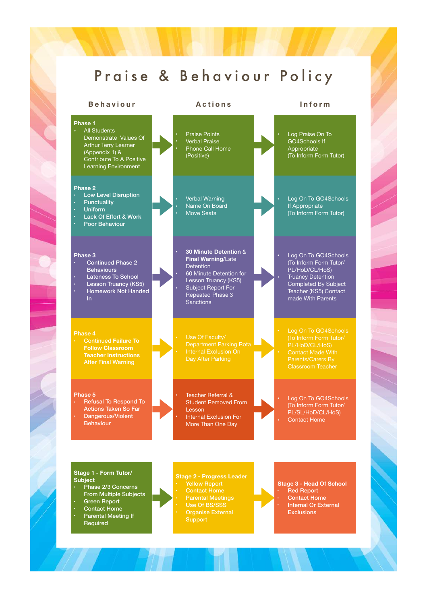### Praise & Behaviour Policy

**Phase 1 •** All Students Demonstrate Values Of Arthur Terry Learner (Appendix 1) & Contribute To A Positive Learning Environment **•** Praise Points **•** Verbal Praise **•** Phone Call Home (Positive) **•** Log Praise On To GO4Schools If Appropriate (To Inform Form Tutor) **Phase 2**  • Low Level Disruption **Punctuality** • Uniform Lack Of Effort & Work • Poor Behaviour **•** Verbal Warning • Name On Board • Move Seats **•** Log On To GO4Schools If Appropriate (To Inform Form Tutor) **Phase 3**  • Continued Phase 2 Behaviours Lateness To School **Lesson Truancy (KS5)** • Homework Not Handed In • **30 Minute Detention** & **Final Warning**/Late Detention • 60 Minute Detention for Lesson Truancy (KS5) Subject Report For Repeated Phase 3 **Sanctions** • Continued **Failure To**  After Final Warning Use Of Faculty/ Department Parking Rota **Phase 5**  • Refusal To Respond To Actions Taken So Far Dangerous/Violent Behaviour • Teacher Referral & Student Removed From Lesson Internal Exclusion For More Than One Day **Behaviour Actions Inform**

### **Stage 1 - Form Tutor/ Subject**

- Phase 2/3 Concerns From Multiple Subjects
- Green Report
- Contact Home • Parental Meeting If
- Required

**Stage 2 - Progress Leader Parental Meetings** 

**Organise External Support** 

### **Stage 3 - Head Of School**  • Red Report Contact Home

Internal Or External **Exclusions** 

• Log On To GO4Schools (To Inform Form Tutor/ PL/HoD/CL/HoS) Truancy Detention Completed By Subject Teacher (KS5) Contact made With Parents

PL/HoD/CL/HoS) Classroom Teacher

• Log On To GO4Schools (To Inform Form Tutor/ PL/SL/HoD/CL/HoS)

Contact Home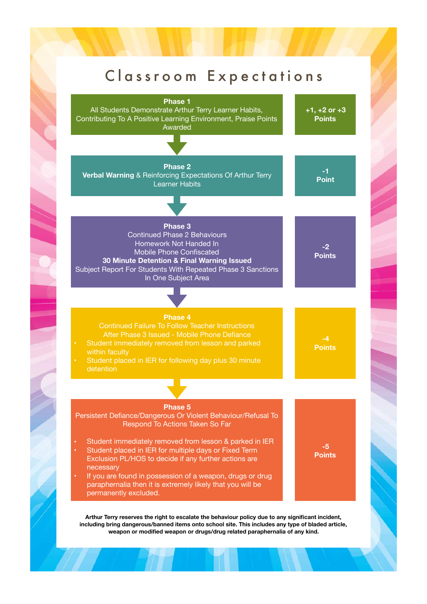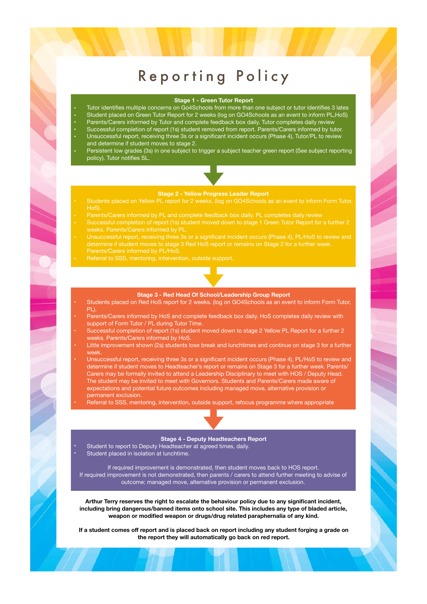### Reporting Policy

### **Stage 1 - Green Tutor Report**

- Tutor identifies multiple concerns on Go4Schools from more than one subject or tutor identifies 3 lates
- Student placed on Green Tutor Report for 2 weeks (log on GO4Schools as an event to inform PL,HoS)
- Parents/Carers informed by Tutor and complete feedback box daily. Tutor completes daily review
- Successful completion of report (1s) student removed from report. Parents/Carers informed by tutor.
- Unsuccessful report, receiving three 3s or a significant incident occurs (Phase 4), Tutor/PL to review and determine if student moves to stage 2.
- Persistent low grades (3s) in one subject to trigger a subject teacher green report (See subject reporting policy). Tutor notifies SL.

### **Stage 2 - Yellow Progress Leader Report**

- HoS).
- 
- weeks. Parents/Carers informed by PL.
- determine if student moves to stage 3 Red HoS report or remains on Stage 2 for a further week. Parents/Carers informed by PL/HoS.
- 

### **Stage 3 - Red Head Of School/Leadership Group Report**

- Students placed on Red HoS report for 2 weeks. (log on GO4Schools as an event to inform Form Tutor, PL).
- Parents/Carers informed by HoS and complete feedback box daily. HoS completes daily review with support of Form Tutor / PL during Tutor Time.
- Successful completion of report (1s) student moved down to stage 2 Yellow PL Report for a further 2 weeks. Parents/Carers informed by HoS.
- Little improvement shown (2s) students lose break and lunchtimes and continue on stage 3 for a further week.
- Unsuccessful report, receiving three 3s or a significant incident occurs (Phase 4), PL/HoS to review and determine if student moves to Headteacher's report or remains on Stage 3 for a further week. Parents/ Carers may be formally invited to attend a Leadership Disciplinary to meet with HOS / Deputy Head. The student may be invited to meet with Governors. Students and Parents/Carers made aware of expectations and potential future outcomes including managed move, alternative provision or permanent exclusion.
	- Referral to SSS, mentoring, intervention, outside support, refocus programme where appropriate

### **Stage 4 - Deputy Headteachers Report**

- Student to report to Deputy Headteacher at agreed times, daily.
- Student placed in isolation at lunchtime.

If required improvement is demonstrated, then student moves back to HOS report. If required improvement is not demonstrated, then parents / carers to attend further meeting to advise of outcome: managed move, alternative provision or permanent exclusion.

**Arthur Terry reserves the right to escalate the behaviour policy due to any significant incident, including bring dangerous/banned items onto school site. This includes any type of bladed article, weapon or modified weapon or drugs/drug related paraphernalia of any kind.**

**If a student comes off report and is placed back on report including any student forging a grade on the report they will automatically go back on red report.**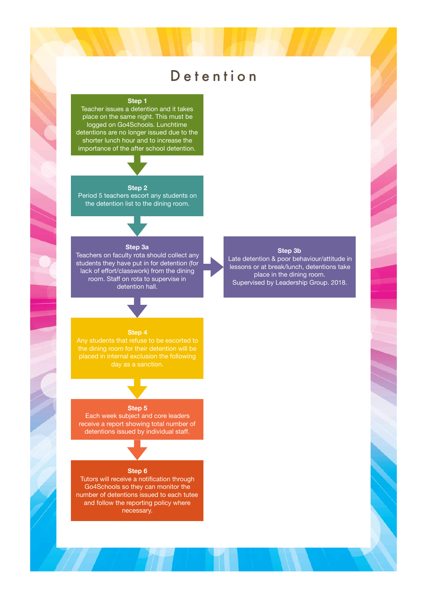### Detention

### **Step 1**

Teacher issues a detention and it takes place on the same night. This must be logged on Go4Schools. Lunchtime detentions are no longer issued due to the shorter lunch hour and to increase the importance of the after school detention.

### **Step 2**

Period 5 teachers escort any students on the detention list to the dining room.

### **Step 3a**

Teachers on faculty rota should collect any students they have put in for detention (for lack of effort/classwork) from the dining room. Staff on rota to supervise in detention hall.

### **Step 3b**

Late detention & poor behaviour/attitude in lessons or at break/lunch, detentions take place in the dining room. Supervised by Leadership Group. 2018.

### **Step 4**

day as a sanction.

### **Step 5**

Each week subject and core leaders receive a report showing total number of detentions issued by individual staff.

### **Step 6**

Tutors will receive a notification through Go4Schools so they can monitor the number of detentions issued to each tutee and follow the reporting policy where necessary.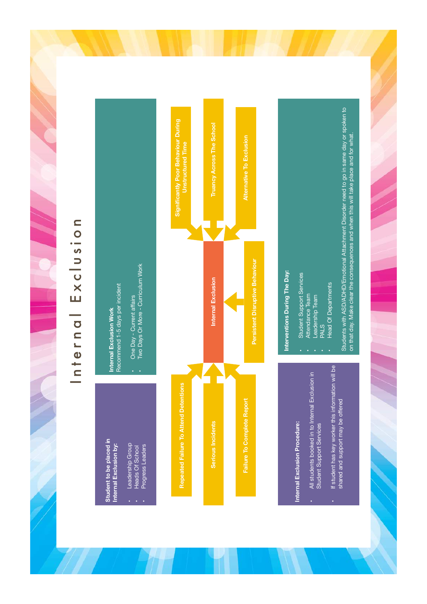## Internal Exclusion Internal Exclusion



## Internal Exclusion Procedure: **Internal Exclusion Procedure:**

- All students booked in to Internal Exclusion in<br>Student Support Services • All students booked in to Internal Exclusion in Student Support Services
- If student has key worker this information will be If student has key worker this information will be shared and support may be offered shared and support may be offered

## Interventions During The Day: **Interventions During The Day:**

- **Student Support Services** • Student Support Services
	- Attendance Team • Attendance Team
		- Leadership Team • Leadership Team
- PALS
- **Head Of Departments** • Head Of Departments

Students with ASD/ADHD/Emotional Attachment Disorder need to go in same day or spoken to Students with ASD/ADHD/Emotional Attachment Disorder need to go in same day or spoken to on that day. Make clear the consequences and when this will take place and for what. on that day. Make clear the consequences and when this will take place and for what.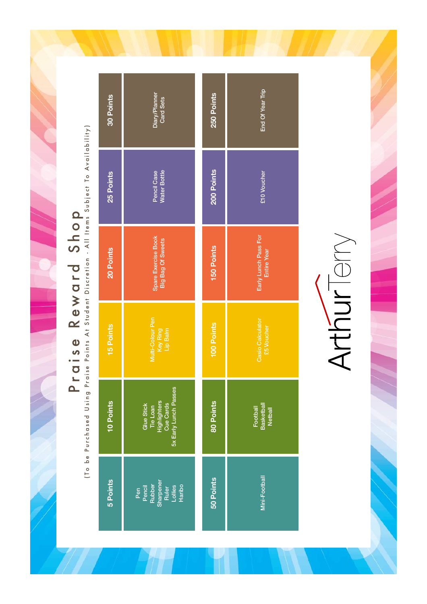Praise Reward Shop

Praise Reward Shop and Shop (To be Purchased Using Praise Points At Student Discretion - All Items Subject To Availability) (To be Purchased Using Praise Points At Student Discretion - All Items Subject To Availability)

| 30 Points                                                                                 | Diary/Planner<br><b>Card Sets</b>                                    | 250 Points        | End Of Year Trip                         |
|-------------------------------------------------------------------------------------------|----------------------------------------------------------------------|-------------------|------------------------------------------|
| 25 Points                                                                                 | <b>Water Bottle</b><br>Pencil Case                                   | 200 Points        | £10 Voucher                              |
| 20 Points                                                                                 | Spare Exercise Book<br>Big Bag Of Sweets                             | <b>150 Points</b> | Early Lunch Pass For<br>Entire Year      |
| <b>15 Points</b>                                                                          | Multi-Colour Pen<br>Key Ring<br>Lip Balm                             | 100 Points        | Casio Calculator<br><b>25 Voucher</b>    |
| 5x Early Lunch Passes<br>10 Points<br>Tie Loan<br>Highlighters<br>Cue Cards<br>Glue Stick |                                                                      | 80 Points         | Football<br>Basketball<br><b>Netball</b> |
| 5 Points                                                                                  | Pen<br>Pencil<br>Rubber<br>Sharpener<br>Collies<br>Lollies<br>Laribo | 50 Points         | Mini-Football                            |

# Arthuriery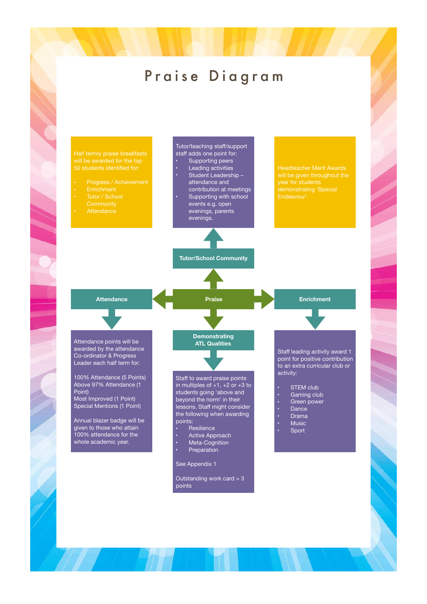### Praise Diagram

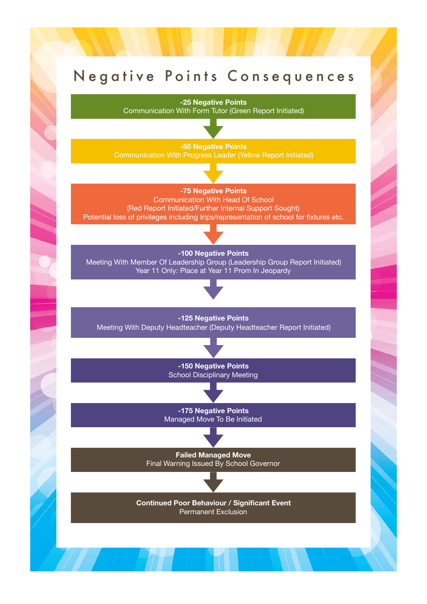